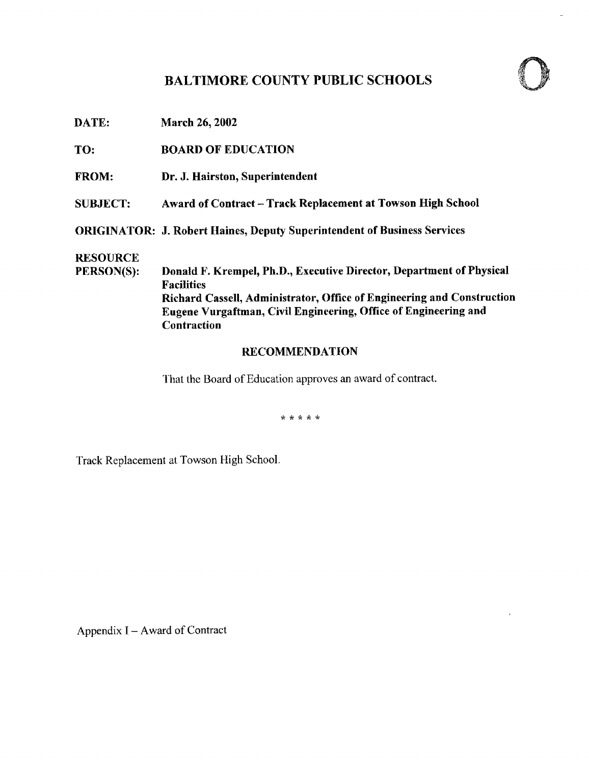## BALTIMORE COUNTY PUBLIC SCHOOLS



DATE: March 26, 2002

TO: BOARD OF EDUCATION

FROM: Dr. J. Hairston, Superintendent

SUBJECT: Award of Contract - Track Replacement at Towson High School

ORIGINATOR: J. Robert Haines, Deputy Superintendent of Business Services

**RESOURCE**<br>PERSON(S):

Donald F. Krempel, Ph.D., Executive Director, Department of Physical Facilities Richard Cassell, Administrator, Office of Engineering and Construction Eugene Vurgaftman, Civil Engineering, Office of Engineering and Contraction

### RECOMMENDATION

That the Board of Education approves an award of contract.

\* \* \* \* \*

Track Replacement at Towson High School.

Appendix I - Award of Contract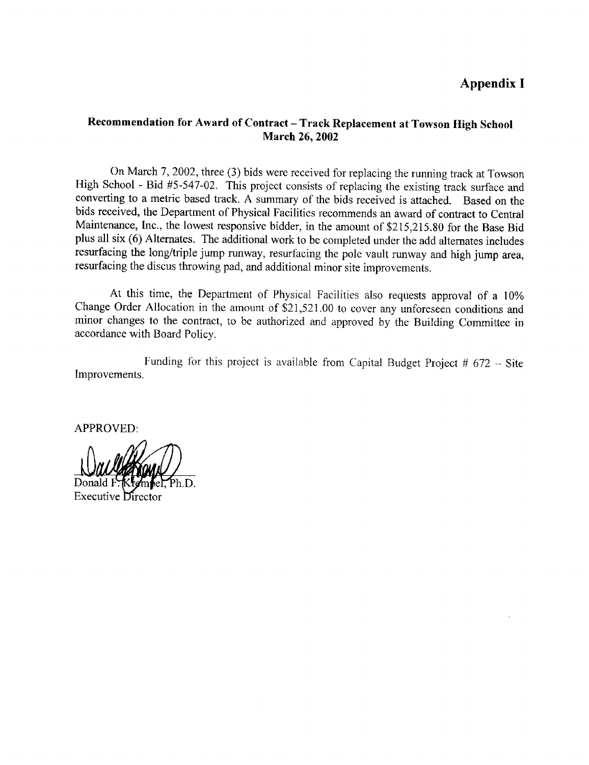## Appendix <sup>I</sup>

#### Recommendation for Award of Contract - Track Replacement at Towson High School March 26, 2002

On March 7, 2002, three (3) bids were received for replacing the running track at Towson High School - Bid #5-547-02 . This project consists of replacing the existing track surface and converting to <sup>a</sup> metric based track. A summary of the bids received is attached. Based on the bids received, the Department of Physical Facilities recommends an award of contract to Central Maintenance, Inc., the lowest responsive bidder, in the amount of \$215,215.80 for the Base Bid plus all six (6) Alternates . The additional work to be completed under the add alternates includes resurfacing the long/triple jump runway, resurfacing the pole vault runway and high jump area, resurfacing the discus throwing pad, and additional minor site improvements.

At this time, the Department of Physical Facilities also requests approval of <sup>a</sup> 10% Change Order Allocation in the amount of \$21,521 .00 to cover any unforeseen conditions and minor changes to the contract, to be authorized and approved by the Building Committee in accordance with Board Policy.

Improvements . Funding for this project is available from Capital Budget Project  $# 672 -$  Site

APPROVED:

Executive Director